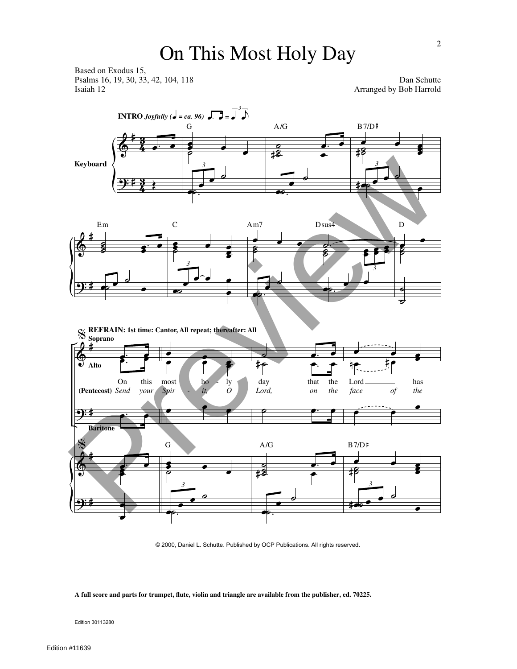## On This Most Holy Day

Based on Exodus 15, Psalms 16, 19, 30, 33, 42, 104, 118 Dan Schutte Isaiah 12 Dan Schutte Arranged by Bob Harrold

Arranged by Bob Harrold



© 2000, Daniel L. Schutte. Published by OCP Publications. All rights reserved.

**A full score and parts for trumpet, flute, violin and triangle are available from the publisher, ed. 70225.**

Edition 30113280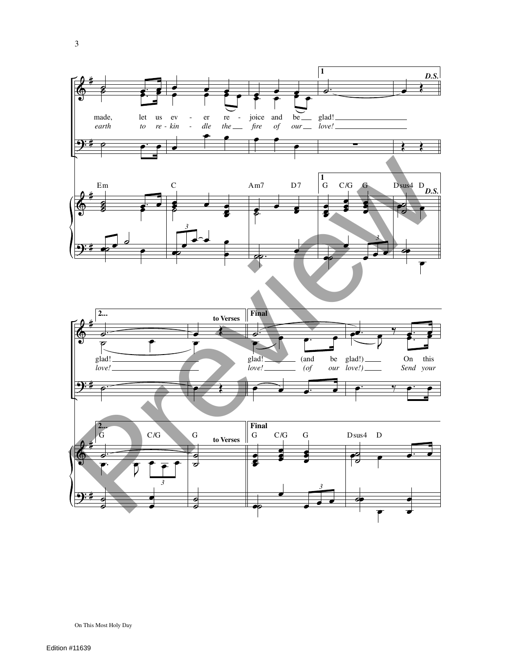

On This Most Holy Day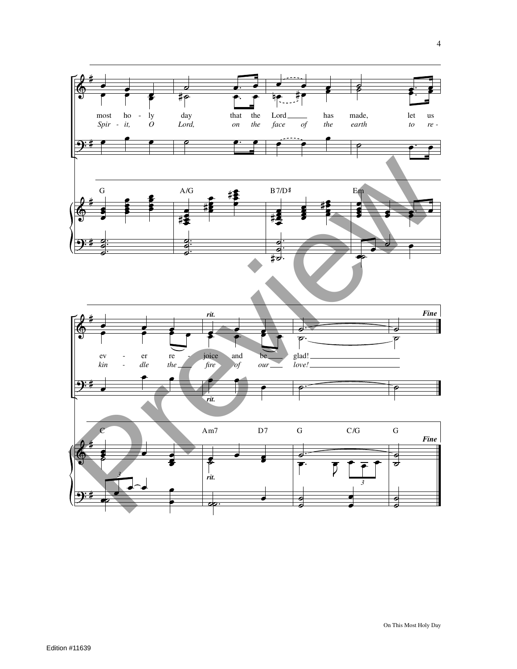

4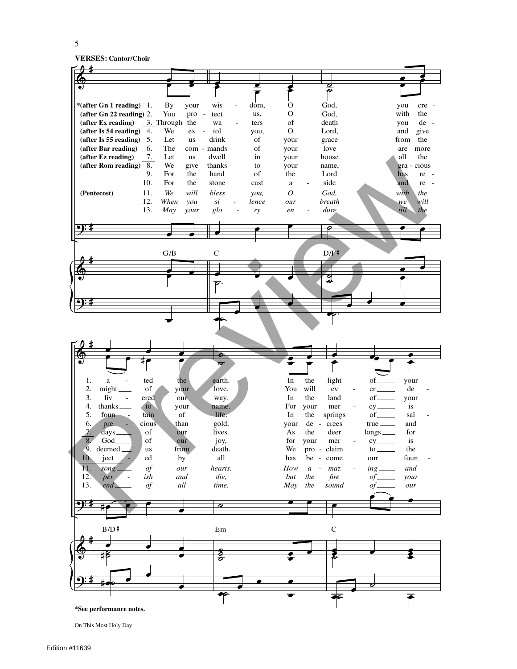

**VERSES: Cantor/Choir** 



On This Most Holy Day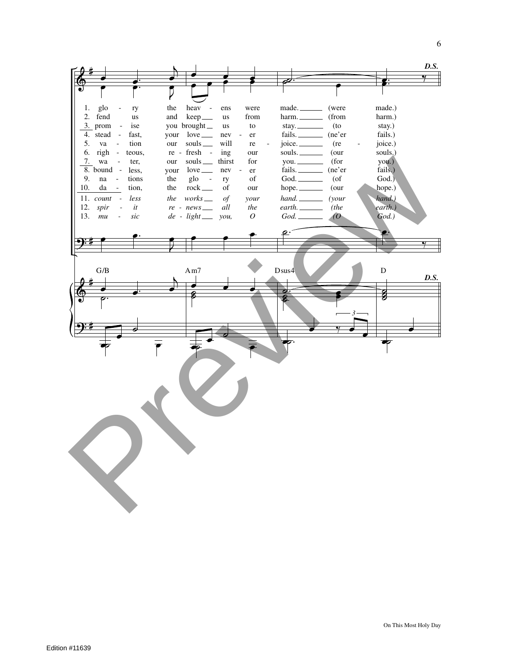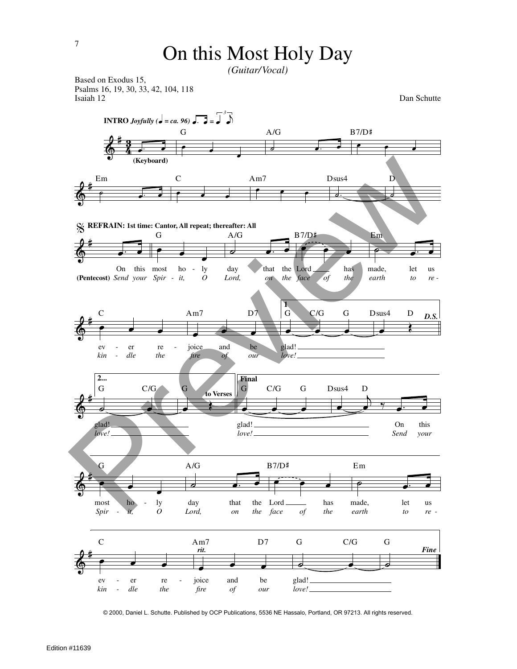## On this Most Holy Day

*(Guitar/Vocal)*

Psalms 16, 19, 30, 33, 42, 104, 118 Dan Schutte  $\frac{2}{9}$ 4 <u>ន្</u> **(Keyboard)**  $\overline{\cdot}$  . G  $\bullet$ A/G  $\overline{\phantom{a}}$  .  $\overline{\phantom{a}}$ B7/D#  $\bullet$   $\bullet$   $\bullet$  $\frac{2}{9}$ Em **ृ** C  $\bullet$   $\bullet$   $\bullet$ Am7  $\overrightarrow{e}$ D<sub>sus4</sub> ˙ . D  $\overline{\phantom{a}}$  $\frac{\ell}{\Phi}$ **(Pentecost)** *Send your Spir - it,*  $\frac{1}{\infty}$  **REFRAIN:** 1st time: Cantor, All repeat; thereafter: All  $\cdot$   $\cdot$ On this most  $\bullet$ G ho ly *O*  $\overline{a}$  .  $\overline{a}$ day *Lord,* that *on* the Lord *the face of* œ œ œ B7/D# has *the*  $\overline{\phantom{a}}$ Em made, *earth* let *to* us *re -*  $\begin{array}{c} e^+e^- \ e^-e^- \end{array}$ C e<sub>v</sub> *kin*  er *dle* re *the*  $\overline{\phantom{a}}$ Am7 D7 joice *fire* and *of* be *our* **1** œ œ œ  $C/G$  G glad! *love! D.S.*  $\overrightarrow{a}$ Dsus4 D  $\frac{\ell}{\Phi}$ **2...**  $\overline{\ }$ G C/G glad! *love!* **to Verses**  $\overrightarrow{a}$ G **Final**  $\overline{\cdot}$ G C/G G glad! *love!*  $\overrightarrow{ }$  $\frac{1}{2}$   $\frac{1}{2}$   $\frac{1}{2}$   $\frac{1}{2}$   $\frac{1}{2}$   $\frac{1}{2}$   $\frac{1}{2}$   $\frac{1}{2}$   $\frac{1}{2}$   $\frac{1}{2}$   $\frac{1}{2}$   $\frac{1}{2}$   $\frac{1}{2}$   $\frac{1}{2}$   $\frac{1}{2}$   $\frac{1}{2}$   $\frac{1}{2}$   $\frac{1}{2}$   $\frac{1}{2}$   $\frac{1}{2}$   $\frac{1}{2}$   $\frac{1}{2}$  Dsus4 D On *Send* this *your*  $\stackrel{?}{\circ}$   $\stackrel{?}{\circ}$   $\stackrel{?}{\circ}$ G most *Spir*  ho *it,* ly *O*  $\overline{\phantom{a}}$  .  $\overline{\phantom{a}}$ A/G day *Lord,* that *on* the *the*  $\qquad \qquad \bullet$  $B7/D$ # Lord *face of* has *the*  $\circ$   $\cdot$   $\cdot$   $\cdot$ Em made, *earth* let *to* us *re -*  $\begin{matrix} \theta^{\#} \\ \phi^{\#} \end{matrix}$   $\bullet$   $\bullet$ C e<sub>v</sub> *kin*  er *dle* re *the rit.* œ œ œ Am7 D7 joice *fire* and *of* be *our*  $\circ$   $\overline{\phantom{a}}$ G C/G glad! *love! Fine*  $\overline{\bullet}$ G **INTRO** *Joyfully* ( $\overline{Q} = ca. 96$ )  $\overline{Q} = \overline{Q}^3$ Explorate Catton All repeats therefore All<br>
SERENAIN: Ist time Catton All repeats therefore All<br>
The Catton All repeats there are the Land<br>
(Pennesson) Send your Spirit - it, by day<br>
(Pennesson) Send your Spirit - it is p

© 2000, Daniel L. Schutte. Published by OCP Publications, 5536 NE Hassalo, Portland, OR 97213. All rights reserved.

Based on Exodus 15,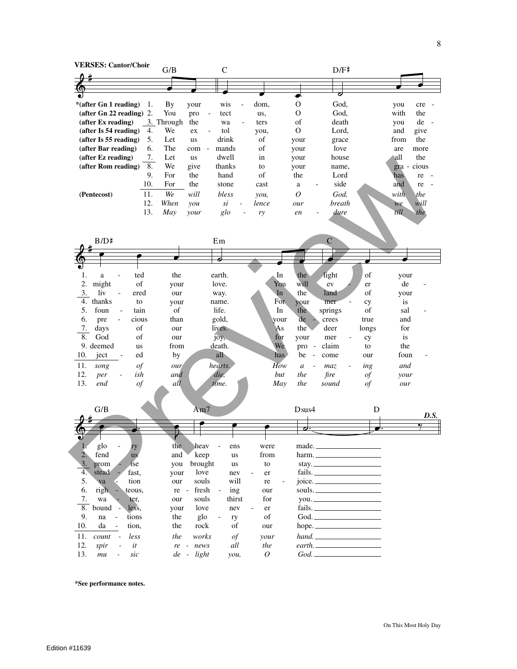|                                       | ם וט             |                                   |       |                                 | レハゴ     |         |             |      |
|---------------------------------------|------------------|-----------------------------------|-------|---------------------------------|---------|---------|-------------|------|
|                                       |                  |                                   |       |                                 |         |         |             |      |
|                                       |                  |                                   |       |                                 |         |         |             |      |
| *(after Gn 1 reading)                 | By<br>1.<br>your | wis                               | dom,  | O                               | God,    |         | you         | cre  |
| (after Gn 22 reading) 2.              | You<br>pro       | tect<br>$\overline{\phantom{a}}$  | us,   | O                               | God,    |         | with        | the  |
|                                       | the              |                                   | ters  | of                              | death   |         |             | de   |
| (after Ex reading)                    | 3. Through       | wa                                |       | $\Omega$                        |         |         | you         |      |
| (after Is 54 reading)                 | We<br>4.<br>ex   | tol<br>$\overline{\phantom{m}}$   | you,  |                                 | Lord,   |         | and         | give |
| (after Is 55 reading)                 | 5.<br>Let<br>us  | drink                             | of    | your                            | grace   |         | from        | the  |
| (after Bar reading)                   | The<br>6.<br>com | mands<br>$\overline{\phantom{a}}$ | of    | your                            | love    |         | are         | more |
| (after Ez reading)                    | 7.<br>Let<br>us  | dwell                             | in    | your                            | house   |         | all         | the  |
| (after Rom reading)                   | 8.<br>We<br>give | thanks                            | to    | your                            | name,   |         | gra - cious |      |
|                                       | 9.<br>For<br>the | hand                              | of    | the                             | Lord    |         | has         | re   |
| 10.                                   | For<br>the       | stone                             | cast  | a                               | side    |         | and         | re   |
| 11.<br>(Pentecost)                    | We<br>will       | bless                             | you,  | 0                               | God,    |         | with        | the  |
| 12.                                   | When<br>you      | $\mathit{si}$                     | lence | our                             | breath  |         | we          | will |
| 13.                                   | May<br>your      | $g$ lo                            | ry    | en                              | dure    |         | till        | the  |
|                                       |                  |                                   |       |                                 |         |         |             |      |
|                                       |                  |                                   |       |                                 |         |         |             |      |
|                                       |                  |                                   |       |                                 |         |         |             |      |
| $B/D$ #                               |                  | $\rm{E}m$                         |       |                                 | C       |         |             |      |
|                                       |                  |                                   |       |                                 |         |         |             |      |
|                                       |                  |                                   |       |                                 |         |         |             |      |
|                                       |                  |                                   |       |                                 |         |         |             |      |
| ted<br>1.<br>a                        | the              | earth.                            | In    | the                             | light   | of      | your        |      |
| 2.<br>of<br>might                     | your             | love.                             | You   | will                            | ev      | er      | de          |      |
| 3.<br>liv<br>ered                     | our              | way.                              | In    | the                             | land    | of      | your        |      |
| 4.<br>thanks<br>to                    | your             | name.                             | For.  | your                            | mer     | cy      | is          |      |
| 5.<br>foun<br>tain                    | of               | life.                             | In    | the                             | springs | of      | sal         |      |
| 6.<br>pre<br>cious                    | than             | gold,                             | your  | de                              | crees   | true    | and         |      |
| 7.<br>days<br>of                      | our              | lives.                            | As    | the                             | deer    | longs   | for         |      |
| 8.<br>God<br>of                       | our              | joy,                              | for   | your                            | mer     | cy      | is          |      |
| 9. deemed<br>us                       | from             | death.                            | We    | pro<br>$\overline{\phantom{a}}$ | claim   | to      | the         |      |
| 10.<br>ject<br>ed                     | by               | all                               | has   | be<br>$\overline{\phantom{a}}$  | come    | our     | foun        |      |
| 11.<br>$\int$<br>song                 | our              | hearts.                           | How   | $\mathfrak a$                   | maz     | ing     | and         |      |
| 12.<br>ish<br>per                     | and              | die,                              | but   | the                             | fire    | of      | your        |      |
| 13.<br>$\iota$<br>end                 | all              | time.                             | May   | the                             | sound   | $\iota$ | our         |      |
|                                       |                  |                                   |       |                                 |         |         |             |      |
|                                       |                  |                                   |       |                                 |         |         |             |      |
| G/B                                   |                  | Am7                               |       | Dsus4                           |         | D       |             |      |
|                                       |                  |                                   |       |                                 |         |         |             | D.S. |
|                                       |                  |                                   |       |                                 |         |         |             |      |
|                                       |                  |                                   |       |                                 |         |         |             |      |
|                                       |                  |                                   |       |                                 |         |         |             |      |
| glo<br>ľ.<br>ry                       | the              | heav<br>ens                       | were  | made.                           |         |         |             |      |
| $\overline{2}$ .<br>fend<br><b>us</b> | and              | keep<br>us                        | from  | harm.                           |         |         |             |      |
| 3.<br>prom<br>ise                     | you              | brought<br>us                     | to    | stay. $-$                       |         |         |             |      |
| $\overline{4}$ .<br>stead<br>fast,    | your             | love<br>nev                       | er    | fails._                         |         |         |             |      |
| 5.<br>tion<br>va                      | our              | will<br>souls                     | re    | joice.                          |         |         |             |      |
| 6.<br>righ<br>teous,                  | re<br>$\sim$ $-$ | fresh<br>ing                      | our   | souls.                          |         |         |             |      |

 $\,8\,$ 

 $\mathrm{D/F}^{\sharp}$ 

 $\overline{\phantom{a}}$  $\frac{7}{8}$  wa  $\frac{8}{10}$ ter, souls thirst for our  $you.$ less, your love fails. nev  $\mathbb{L}$ er 9. na tions the glo of  $God.$ ry  $\overline{a}$  $da 10.$ tion, the  ${\rm rock}$ of hope. our 11.  $count - less$  $hand.$  $the$ works  $of$ your 12.  $spir - it$  $earth.$ re - news  $\it all$  $\it the$ 13.  $mu$  sic de - light  ${\cal O}$  $God.$ you,

\*See performance notes.

**VERSES: Cantor/Choir** 

 $\mathrm{G/B}$ 

 $\mathbf C$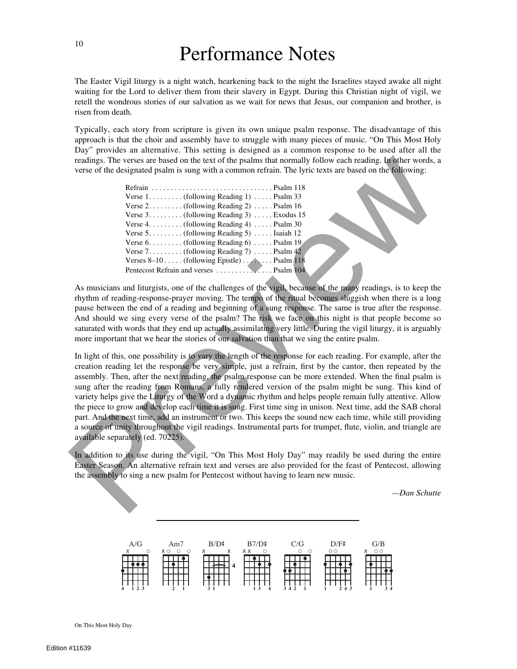## Performance Notes

The Easter Vigil liturgy is a night watch, hearkening back to the night the Israelites stayed awake all night waiting for the Lord to deliver them from their slavery in Egypt. During this Christian night of vigil, we retell the wondrous stories of our salvation as we wait for news that Jesus, our companion and brother, is risen from death.

Typically, each story from scripture is given its own unique psalm response. The disadvantage of this approach is that the choir and assembly have to struggle with many pieces of music. "On This Most Holy Day" provides an alternative. This setting is designed as a common response to be used after all the readings. The verses are based on the text of the psalms that normally follow each reading. In other words, a verse of the designated psalm is sung with a common refrain. The lyric texts are based on the following:

| Verse $1, \ldots,$ (following Reading 1) $\ldots$ . Psalm 33     |
|------------------------------------------------------------------|
| Verse $2, \ldots, 1$ (following Reading 2) $\ldots$ Psalm 16     |
| Verse $3, \ldots, 6$ (following Reading 3) $\ldots$ . Exodus 15  |
| Verse $4 \dots \dots$ (following Reading 4) $\dots$ Psalm 30     |
| Verse $5 \ldots \ldots$ (following Reading 5) $\ldots$ Isaiah 12 |
| Verse $6$ (following Reading $6$ )  Psalm 19                     |
| Verse $7 \ldots \ldots$ (following Reading 7) $\ldots$ Psalm 42  |
|                                                                  |
|                                                                  |

As musicians and liturgists, one of the challenges of the vigil, because of the many readings, is to keep the rhythm of reading-response-prayer moving. The tempo of the ritual becomes sluggish when there is a long pause between the end of a reading and beginning of a sung response. The same is true after the response. And should we sing every verse of the psalm? The risk we face on this night is that people become so saturated with words that they end up actually assimilating very little. During the vigil liturgy, it is arguably more important that we hear the stories of our salvation than that we sing the entire psalm.

In light of this, one possibility is to vary the length of the response for each reading. For example, after the creation reading let the response be very simple, just a refrain, first by the cantor, then repeated by the assembly. Then, after the next reading, the psalm response can be more extended. When the final psalm is sung after the reading from Romans, a fully rendered version of the psalm might be sung. This kind of variety helps give the Liturgy of the Word a dynamic rhythm and helps people remain fully attentive. Allow the piece to grow and develop each time it is sung. First time sing in unison. Next time, add the SAB choral part. And the next time, add an instrument or two. This keeps the sound new each time, while still providing a source of unity throughout the vigil readings. Instrumental parts for trumpet, flute, violin, and triangle are available separately (ed. 70225). reading S. The verses are bosed on the text of the paper has that normally follow each reading. This there were<br>
Presenction of the distinguished particle control in the subset of the paper states of the distinguished by

In addition to its use during the vigil, "On This Most Holy Day" may readily be used during the entire Easter Season. An alternative refrain text and verses are also provided for the feast of Pentecost, allowing the assembly to sing a new psalm for Pentecost without having to learn new music.

*—Dan Schutte*



On This Most Holy Day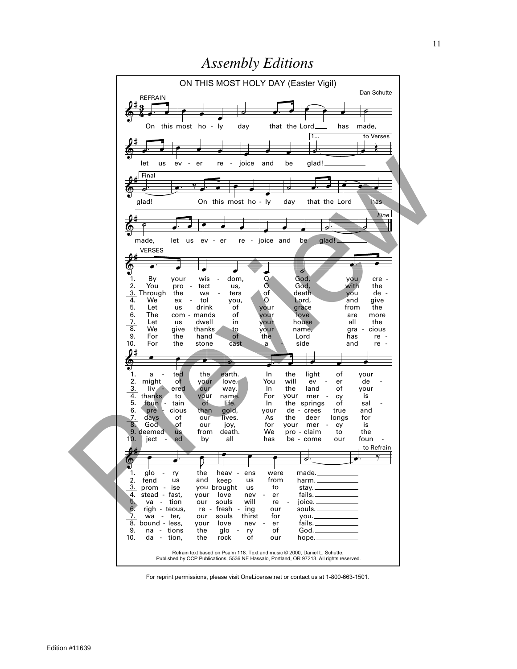

For reprint permissions, please visit OneLicense.net or contact us at 1-800-663-1501.